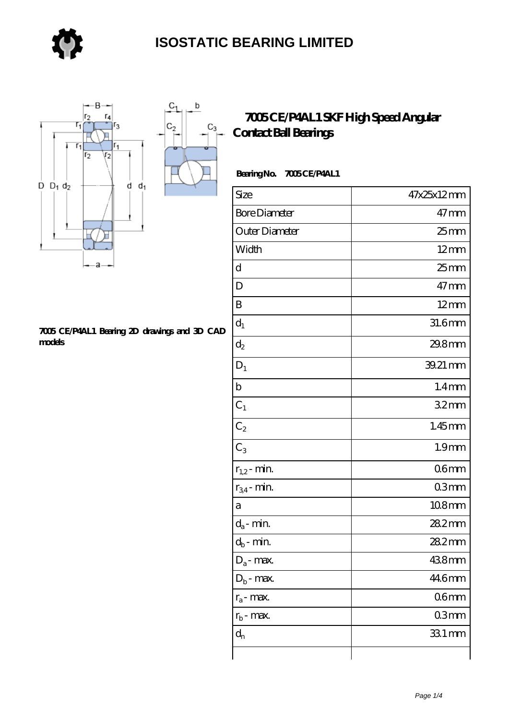

 $\mathsf b$ 

 $C_3$ 

■



#### **[7005 CE/P4AL1 Bearing 2D drawings and 3D CAD](https://store-isabelmarant.com/pic-931727.html) [models](https://store-isabelmarant.com/pic-931727.html)**

#### **[7005 CE/P4AL1 SKF High Speed Angular](https://store-isabelmarant.com/skf-bearings/7005-ce-p4al1.html) [Contact Ball Bearings](https://store-isabelmarant.com/skf-bearings/7005-ce-p4al1.html)**

#### Bearing No. 7005 CE/P4AL1

| Size                 | 47x25x12mm        |
|----------------------|-------------------|
| <b>Bore Diameter</b> | $47$ mm           |
| Outer Diameter       | $25$ mm           |
| Width                | $12 \text{mm}$    |
| d                    | $25$ mm           |
| D                    | $47$ mm           |
| B                    | $12 \text{mm}$    |
| $d_1$                | 31.6mm            |
| $d_2$                | 29.8mm            |
| $D_1$                | 39.21 mm          |
| $\mathbf b$          | 1.4 <sub>mm</sub> |
| $C_1$                | 32 <sub>mm</sub>  |
| $C_2$                | $1.45$ mm         |
| $C_3$                | 1.9 <sub>mm</sub> |
| $r_{1,2}$ - min.     | 06 <sub>mm</sub>  |
| $r_{34}$ - min.      | 03mm              |
| а                    | 108mm             |
| $d_a$ - min.         | 28.2mm            |
| $d_b$ - min.         | 282mm             |
| $D_a$ - max.         | 438mm             |
| $D_b$ - max.         | 446mm             |
| $r_a$ - max.         | 06 <sub>mm</sub>  |
| $r_{b}$ - max.       | 03mm              |
| $d_{n}$              | 331 mm            |
|                      |                   |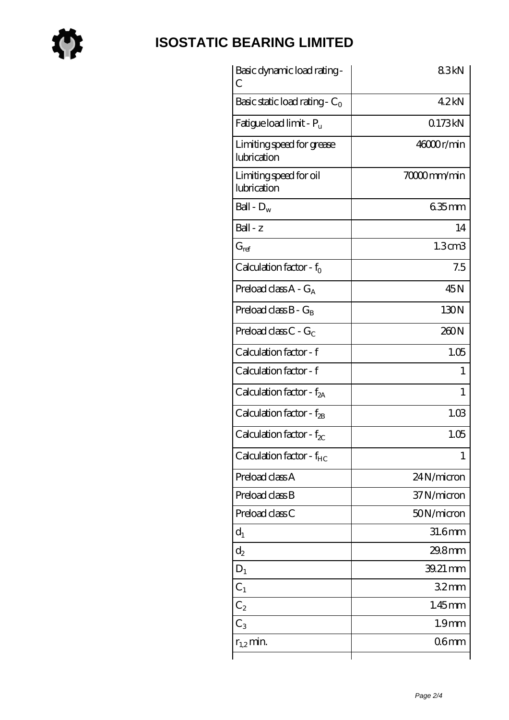

## **[ISOSTATIC BEARING LIMITED](https://store-isabelmarant.com)**

| Basic dynamic load rating-<br>С          | 83kN               |
|------------------------------------------|--------------------|
| Basic static load rating - $C_0$         | 42kN               |
| Fatigue load limit - $P_{\rm u}$         | 0173kN             |
| Limiting speed for grease<br>lubrication | 46000r/min         |
| Limiting speed for oil<br>lubrication    | 70000mm/min        |
| Ball - $D_w$                             | $635$ mm           |
| $Ball - z$                               | 14                 |
| $G_{ref}$                                | 1.3 <sub>cm3</sub> |
| Calculation factor - $f_0$               | 7.5                |
| Preload class $A - G_A$                  | 45N                |
| Preload class $B - G_B$                  | 130N               |
| Preload class $C - G_C$                  | 260N               |
| Calculation factor - f                   | 1.05               |
| Calculation factor - f                   | 1                  |
| Calculation factor - $f_{2A}$            | $\mathbf{1}$       |
| Calculation factor - $f_{2B}$            | 1.03               |
| Calculation factor - $f_{\chi}$          | 1.05               |
| Calculation factor - $f_{HC}$            | 1                  |
| Preload class A                          | 24N/micron         |
| Preload class B                          | 37N/micron         |
| Preload class C                          | 50N/micron         |
| $d_1$                                    | 31.6mm             |
| $\mathrm{d}_2$                           | 29.8mm             |
| $D_1$                                    | 39.21 mm           |
| $C_1$                                    | 32 <sub>mm</sub>   |
| $C_2$                                    | $1.45$ mm          |
| $C_3$                                    | 1.9 <sub>mm</sub>  |
| $r_{1,2}$ min.                           | 06 <sub>mm</sub>   |
|                                          |                    |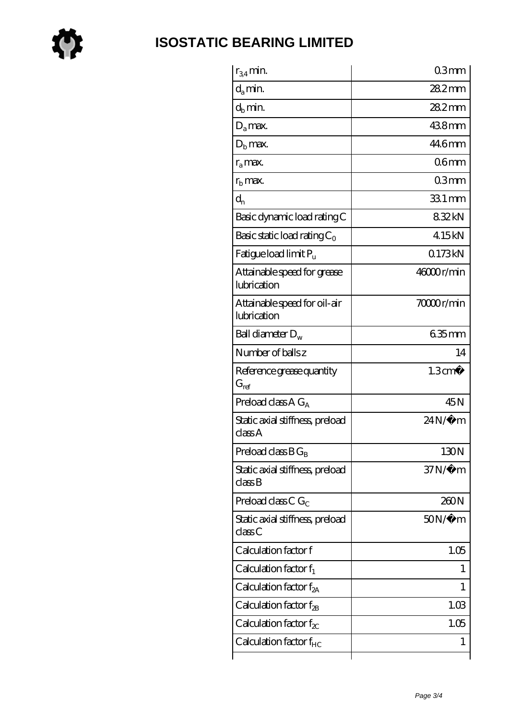

### **[ISOSTATIC BEARING LIMITED](https://store-isabelmarant.com)**

| $r_{34}$ min.                               | 03mm                          |
|---------------------------------------------|-------------------------------|
| $d_{a}$ min.                                | $282$ mm                      |
| $d_b$ min.                                  | 282mm                         |
| $D_a$ max.                                  | 438mm                         |
| $Db$ max.                                   | 446mm                         |
| $r_a$ max.                                  | 06 <sub>mm</sub>              |
| $rb$ max.                                   | 03mm                          |
| $d_{n}$                                     | 33.1 mm                       |
| Basic dynamic load rating C                 | 832kN                         |
| Basic static load rating $C_0$              | 415kN                         |
| Fatigue load limit Pu                       | 0173kN                        |
| Attainable speed for grease<br>lubrication  | 46000r/min                    |
| Attainable speed for oil-air<br>lubrication | 70000r/min                    |
| Ball diameter $D_w$                         | 635mm                         |
| Number of balls z                           | 14                            |
| Reference grease quantity<br>$G_{ref}$      | 1.3 <sup>cm<sup>3</sup></sup> |
| Preload class A $G_A$                       | 45N                           |
| Static axial stiffness, preload<br>classA   | $24N/\mu$ m                   |
| Preload class $BG_B$                        | 130N                          |
| Static axial stiffness, preload<br>classB   | $37N/\mu$ m                   |
| Preload class C $G_C$                       | 260N                          |
| Static axial stiffness, preload<br>classC   | 50N/μ m                       |
| Calculation factor f                        | 1.05                          |
| Calculation factor $f_1$                    | 1                             |
| Calculation factor $f_{2A}$                 | 1                             |
| Calculation factor $f_{\rm 2B}$             | 1.03                          |
| Calculation factor $f_{\chi}$               | 1.05                          |
| Calculation factor $f_{HC}$                 | 1                             |
|                                             |                               |